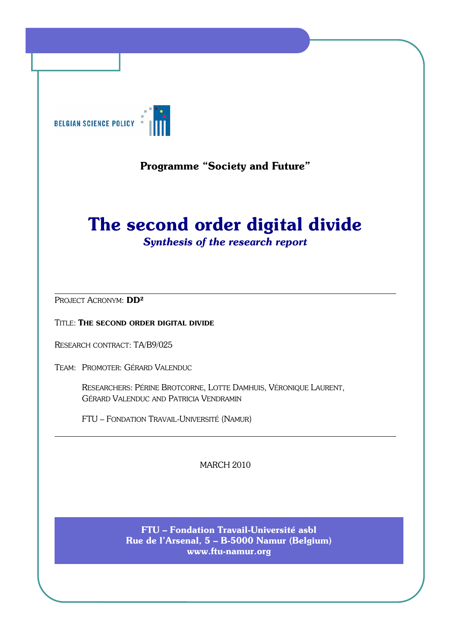

# Programme "Society and Future"

# The second order digital divide

*Synthesis of the research report*

PROJECT ACRONYM: DD<sup>2</sup>

TITLE: THE SECOND ORDER DIGITAL DIVIDE

RESEARCH CONTRACT: TA/B9/025

TEAM: PROMOTER: GÉRARD VALENDUC

RESEARCHERS: PÉRINE BROTCORNE, LOTTE DAMHUIS, VÉRONIQUE LAURENT, GÉRARD VALENDUC AND PATRICIA VENDRAMIN

FTU – FONDATION TRAVAIL-UNIVERSITÉ (NAMUR)

MARCH 2010

FTU – Fondation Travail-Université asbl Rue de l'Arsenal, 5 – B-5000 Namur (Belgium) www.ftu-namur.org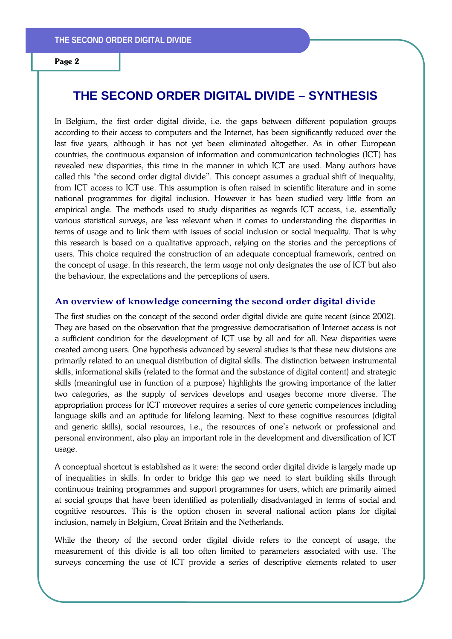# **THE SECOND ORDER DIGITAL DIVIDE – SYNTHESIS**

In Belgium, the first order digital divide, i.e. the gaps between different population groups according to their access to computers and the Internet, has been significantly reduced over the last five years, although it has not yet been eliminated altogether. As in other European countries, the continuous expansion of information and communication technologies (ICT) has revealed new disparities, this time in the manner in which ICT are used. Many authors have called this "the second order digital divide". This concept assumes a gradual shift of inequality, from ICT access to ICT use. This assumption is often raised in scientific literature and in some national programmes for digital inclusion. However it has been studied very little from an empirical angle. The methods used to study disparities as regards ICT access, i.e. essentially various statistical surveys, are less relevant when it comes to understanding the disparities in terms of usage and to link them with issues of social inclusion or social inequality. That is why this research is based on a qualitative approach, relying on the stories and the perceptions of users. This choice required the construction of an adequate conceptual framework, centred on the concept of usage. In this research, the term *usage* not only designates the *use* of ICT but also the behaviour, the expectations and the perceptions of users.

#### **An overview of knowledge concerning the second order digital divide**

The first studies on the concept of the second order digital divide are quite recent (since 2002). They are based on the observation that the progressive democratisation of Internet access is not a sufficient condition for the development of ICT use by all and for all. New disparities were created among users. One hypothesis advanced by several studies is that these new divisions are primarily related to an unequal distribution of digital skills. The distinction between instrumental skills, informational skills (related to the format and the substance of digital content) and strategic skills (meaningful use in function of a purpose) highlights the growing importance of the latter two categories, as the supply of services develops and usages become more diverse. The appropriation process for ICT moreover requires a series of core generic competences including language skills and an aptitude for lifelong learning. Next to these cognitive resources (digital and generic skills), social resources, i.e., the resources of one's network or professional and personal environment, also play an important role in the development and diversification of ICT usage.

A conceptual shortcut is established as it were: the second order digital divide is largely made up of inequalities in skills. In order to bridge this gap we need to start building skills through continuous training programmes and support programmes for users, which are primarily aimed at social groups that have been identified as potentially disadvantaged in terms of social and cognitive resources. This is the option chosen in several national action plans for digital inclusion, namely in Belgium, Great Britain and the Netherlands.

While the theory of the second order digital divide refers to the concept of usage, the measurement of this divide is all too often limited to parameters associated with use. The surveys concerning the use of ICT provide a series of descriptive elements related to user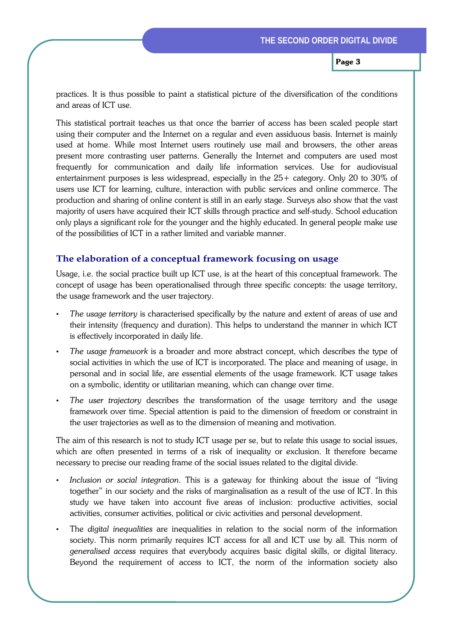practices. It is thus possible to paint a statistical picture of the diversification of the conditions and areas of ICT use.

This statistical portrait teaches us that once the barrier of access has been scaled people start using their computer and the Internet on a regular and even assiduous basis. Internet is mainly used at home. While most Internet users routinely use mail and browsers, the other areas present more contrasting user patterns. Generally the Internet and computers are used most frequently for communication and daily life information services. Use for audiovisual entertainment purposes is less widespread, especially in the 25+ category. Only 20 to 30% of users use ICT for learning, culture, interaction with public services and online commerce. The production and sharing of online content is still in an early stage. Surveys also show that the vast majority of users have acquired their ICT skills through practice and self-study. School education only plays a significant role for the younger and the highly educated. In general people make use of the possibilities of ICT in a rather limited and variable manner.

#### **The elaboration of a conceptual framework focusing on usage**

Usage, i.e. the social practice built up ICT use, is at the heart of this conceptual framework. The concept of usage has been operationalised through three specific concepts: the usage territory, the usage framework and the user trajectory.

- *The usage territory* is characterised specifically by the nature and extent of areas of use and their intensity (frequency and duration). This helps to understand the manner in which ICT is effectively incorporated in daily life.
- *The usage framework* is a broader and more abstract concept, which describes the type of social activities in which the use of ICT is incorporated. The place and meaning of usage, in personal and in social life, are essential elements of the usage framework. ICT usage takes on a symbolic, identity or utilitarian meaning, which can change over time.
- *The user trajectory* describes the transformation of the usage territory and the usage framework over time. Special attention is paid to the dimension of freedom or constraint in the user trajectories as well as to the dimension of meaning and motivation.

The aim of this research is not to study ICT usage per se, but to relate this usage to social issues, which are often presented in terms of a risk of inequality or exclusion. It therefore became necessary to precise our reading frame of the social issues related to the digital divide.

- *Inclusion or social integration*. This is a gateway for thinking about the issue of "living together" in our society and the risks of marginalisation as a result of the use of ICT. In this study we have taken into account five areas of inclusion: productive activities, social activities, consumer activities, political or civic activities and personal development.
- The *digital inequalities* are inequalities in relation to the social norm of the information society. This norm primarily requires ICT access for all and ICT use by all. This norm of *generalised access* requires that everybody acquires basic digital skills, or digital literacy. Beyond the requirement of access to ICT, the norm of the information society also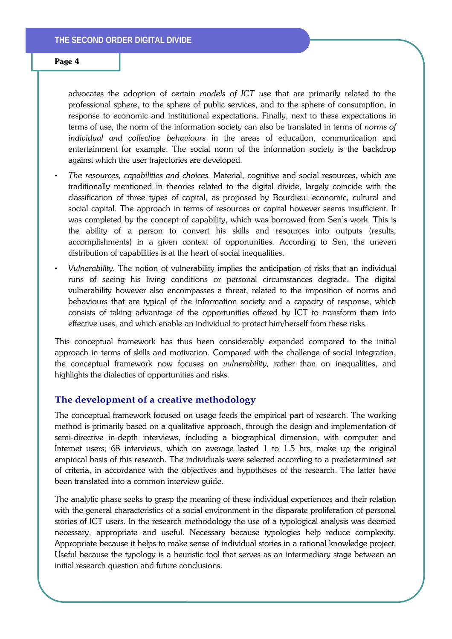advocates the adoption of certain *models of ICT use* that are primarily related to the professional sphere, to the sphere of public services, and to the sphere of consumption, in response to economic and institutional expectations. Finally, next to these expectations in terms of use, the norm of the information society can also be translated in terms of *norms of individual and collective behaviours* in the areas of education, communication and entertainment for example. The social norm of the information society is the backdrop against which the user trajectories are developed.

- *The resources, capabilities and choices.* Material, cognitive and social resources, which are traditionally mentioned in theories related to the digital divide, largely coincide with the classification of three types of capital, as proposed by Bourdieu: economic, cultural and social capital. The approach in terms of resources or capital however seems insufficient. It was completed by the concept of capability, which was borrowed from Sen's work. This is the ability of a person to convert his skills and resources into outputs (results, accomplishments) in a given context of opportunities. According to Sen, the uneven distribution of capabilities is at the heart of social inequalities.
- *Vulnerability.* The notion of vulnerability implies the anticipation of risks that an individual runs of seeing his living conditions or personal circumstances degrade. The digital vulnerability however also encompasses a threat, related to the imposition of norms and behaviours that are typical of the information society and a capacity of response, which consists of taking advantage of the opportunities offered by ICT to transform them into effective uses, and which enable an individual to protect him/herself from these risks.

This conceptual framework has thus been considerably expanded compared to the initial approach in terms of skills and motivation. Compared with the challenge of social integration, the conceptual framework now focuses on *vulnerability,* rather than on inequalities, and highlights the dialectics of opportunities and risks.

#### **The development of a creative methodology**

The conceptual framework focused on usage feeds the empirical part of research. The working method is primarily based on a qualitative approach, through the design and implementation of semi-directive in-depth interviews, including a biographical dimension, with computer and Internet users; 68 interviews, which on average lasted 1 to 1.5 hrs, make up the original empirical basis of this research. The individuals were selected according to a predetermined set of criteria, in accordance with the objectives and hypotheses of the research. The latter have been translated into a common interview guide.

The analytic phase seeks to grasp the meaning of these individual experiences and their relation with the general characteristics of a social environment in the disparate proliferation of personal stories of ICT users. In the research methodology the use of a typological analysis was deemed necessary, appropriate and useful. Necessary because typologies help reduce complexity. Appropriate because it helps to make sense of individual stories in a rational knowledge project. Useful because the typology is a heuristic tool that serves as an intermediary stage between an initial research question and future conclusions.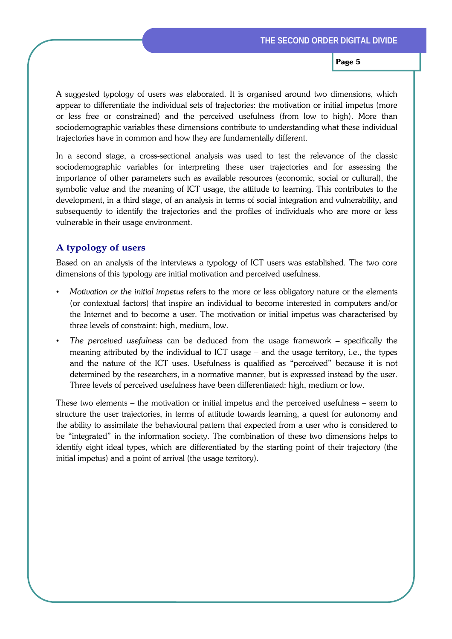A suggested typology of users was elaborated. It is organised around two dimensions, which appear to differentiate the individual sets of trajectories: the motivation or initial impetus (more or less free or constrained) and the perceived usefulness (from low to high). More than sociodemographic variables these dimensions contribute to understanding what these individual trajectories have in common and how they are fundamentally different.

In a second stage, a cross-sectional analysis was used to test the relevance of the classic sociodemographic variables for interpreting these user trajectories and for assessing the importance of other parameters such as available resources (economic, social or cultural), the symbolic value and the meaning of ICT usage, the attitude to learning. This contributes to the development, in a third stage, of an analysis in terms of social integration and vulnerability, and subsequently to identify the trajectories and the profiles of individuals who are more or less vulnerable in their usage environment.

# **A typology of users**

Based on an analysis of the interviews a typology of ICT users was established. The two core dimensions of this typology are initial motivation and perceived usefulness.

- *Motivation or the initial impetus* refers to the more or less obligatory nature or the elements (or contextual factors) that inspire an individual to become interested in computers and/or the Internet and to become a user. The motivation or initial impetus was characterised by three levels of constraint: high, medium, low.
- *The perceived usefulness* can be deduced from the usage framework specifically the meaning attributed by the individual to ICT usage – and the usage territory, i.e., the types and the nature of the ICT uses. Usefulness is qualified as "perceived" because it is not determined by the researchers, in a normative manner, but is expressed instead by the user. Three levels of perceived usefulness have been differentiated: high, medium or low.

These two elements – the motivation or initial impetus and the perceived usefulness – seem to structure the user trajectories, in terms of attitude towards learning, a quest for autonomy and the ability to assimilate the behavioural pattern that expected from a user who is considered to be "integrated" in the information society. The combination of these two dimensions helps to identify eight ideal types, which are differentiated by the starting point of their trajectory (the initial impetus) and a point of arrival (the usage territory).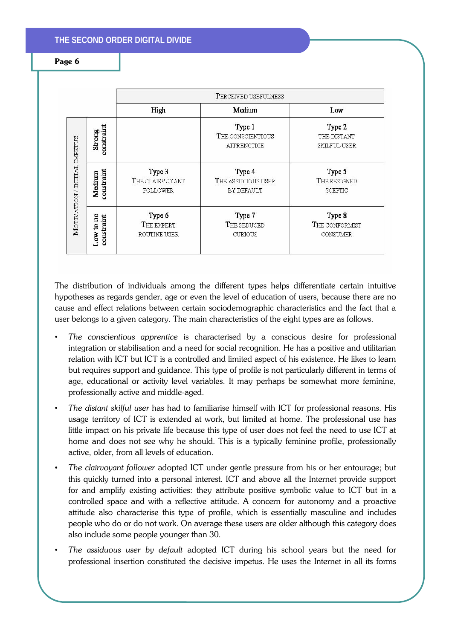# **THE SECOND ORDER DIGITAL DIVIDE**

#### Page 6

|                              |                         | PERCEIVED USEFULNESS                         |                                                   |                                              |
|------------------------------|-------------------------|----------------------------------------------|---------------------------------------------------|----------------------------------------------|
|                              |                         | High                                         | Medium                                            | Low                                          |
| MOTIVATION / INTIIAL IMPETUS | constraint<br>Strong    |                                              | Type 1<br>THE CONSCIENTIOUS<br><b>APPRENCTICE</b> | Type 2<br>THE DISTANT<br><b>SKILFUL USER</b> |
|                              | constraint<br>Medium    | Type 3<br>THE CLAIRVOYANT<br><b>FOLLOWER</b> | Type 4<br>THE ASSIDUOUS USER<br>BY DEFAULT        | Type 5<br>THE RESIGNED<br>SCEPTIC            |
|                              | Low to no<br>constraint | Type 6<br>THE EXPERT<br>ROUTINE USER         | Type 7<br>THE SEDUCED<br><b>CURIOUS</b>           | Type 8<br>THE CONFORMIST<br>CONSUMER         |

The distribution of individuals among the different types helps differentiate certain intuitive hypotheses as regards gender, age or even the level of education of users, because there are no cause and effect relations between certain sociodemographic characteristics and the fact that a user belongs to a given category. The main characteristics of the eight types are as follows.

- *The conscientious apprentice* is characterised by a conscious desire for professional integration or stabilisation and a need for social recognition. He has a positive and utilitarian relation with ICT but ICT is a controlled and limited aspect of his existence. He likes to learn but requires support and guidance. This type of profile is not particularly different in terms of age, educational or activity level variables. It may perhaps be somewhat more feminine, professionally active and middle-aged.
- *The distant skilful user* has had to familiarise himself with ICT for professional reasons. His usage territory of ICT is extended at work, but limited at home. The professional use has little impact on his private life because this type of user does not feel the need to use ICT at home and does not see why he should. This is a typically feminine profile, professionally active, older, from all levels of education.
- *The clairvoyant follower* adopted ICT under gentle pressure from his or her entourage; but this quickly turned into a personal interest. ICT and above all the Internet provide support for and amplify existing activities: they attribute positive symbolic value to ICT but in a controlled space and with a reflective attitude. A concern for autonomy and a proactive attitude also characterise this type of profile, which is essentially masculine and includes people who do or do not work. On average these users are older although this category does also include some people younger than 30.
- *The assiduous user by default* adopted ICT during his school years but the need for professional insertion constituted the decisive impetus. He uses the Internet in all its forms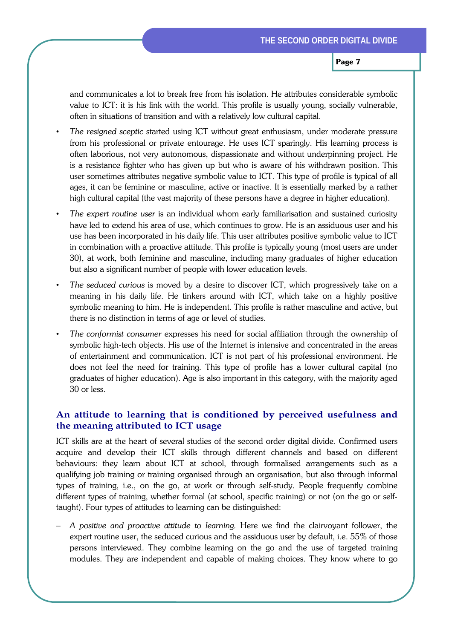and communicates a lot to break free from his isolation. He attributes considerable symbolic value to ICT: it is his link with the world. This profile is usually young, socially vulnerable, often in situations of transition and with a relatively low cultural capital.

- *The resigned sceptic* started using ICT without great enthusiasm, under moderate pressure from his professional or private entourage. He uses ICT sparingly. His learning process is often laborious, not very autonomous, dispassionate and without underpinning project. He is a resistance fighter who has given up but who is aware of his withdrawn position. This user sometimes attributes negative symbolic value to ICT. This type of profile is typical of all ages, it can be feminine or masculine, active or inactive. It is essentially marked by a rather high cultural capital (the vast majority of these persons have a degree in higher education).
- *The expert routine user* is an individual whom early familiarisation and sustained curiosity have led to extend his area of use, which continues to grow. He is an assiduous user and his use has been incorporated in his daily life. This user attributes positive symbolic value to ICT in combination with a proactive attitude. This profile is typically young (most users are under 30), at work, both feminine and masculine, including many graduates of higher education but also a significant number of people with lower education levels.
- *The seduced curious* is moved by a desire to discover ICT, which progressively take on a meaning in his daily life. He tinkers around with ICT, which take on a highly positive symbolic meaning to him. He is independent. This profile is rather masculine and active, but there is no distinction in terms of age or level of studies.
- *The conformist consumer* expresses his need for social affiliation through the ownership of symbolic high-tech objects. His use of the Internet is intensive and concentrated in the areas of entertainment and communication. ICT is not part of his professional environment. He does not feel the need for training. This type of profile has a lower cultural capital (no graduates of higher education). Age is also important in this category, with the majority aged 30 or less.

# **An attitude to learning that is conditioned by perceived usefulness and the meaning attributed to ICT usage**

ICT skills are at the heart of several studies of the second order digital divide. Confirmed users acquire and develop their ICT skills through different channels and based on different behaviours: they learn about ICT at school, through formalised arrangements such as a qualifying job training or training organised through an organisation, but also through informal types of training, i.e., on the go, at work or through self-study. People frequently combine different types of training, whether formal (at school, specific training) or not (on the go or selftaught). Four types of attitudes to learning can be distinguished:

− *A positive and proactive attitude to learning.* Here we find the clairvoyant follower, the expert routine user, the seduced curious and the assiduous user by default, i.e. 55% of those persons interviewed. They combine learning on the go and the use of targeted training modules. They are independent and capable of making choices. They know where to go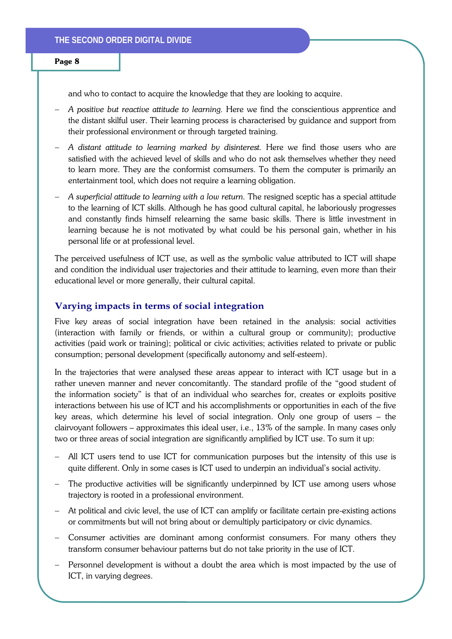and who to contact to acquire the knowledge that they are looking to acquire.

- − *A positive but reactive attitude to learning.* Here we find the conscientious apprentice and the distant skilful user. Their learning process is characterised by guidance and support from their professional environment or through targeted training.
- − *A distant attitude to learning marked by disinterest.* Here we find those users who are satisfied with the achieved level of skills and who do not ask themselves whether they need to learn more. They are the conformist comsumers. To them the computer is primarily an entertainment tool, which does not require a learning obligation.
- − *A superficial attitude to learning with a low return.* The resigned sceptic has a special attitude to the learning of ICT skills. Although he has good cultural capital, he laboriously progresses and constantly finds himself relearning the same basic skills. There is little investment in learning because he is not motivated by what could be his personal gain, whether in his personal life or at professional level.

The perceived usefulness of ICT use, as well as the symbolic value attributed to ICT will shape and condition the individual user trajectories and their attitude to learning, even more than their educational level or more generally, their cultural capital.

#### **Varying impacts in terms of social integration**

Five key areas of social integration have been retained in the analysis: social activities (interaction with family or friends, or within a cultural group or community); productive activities (paid work or training); political or civic activities; activities related to private or public consumption; personal development (specifically autonomy and self-esteem).

In the trajectories that were analysed these areas appear to interact with ICT usage but in a rather uneven manner and never concomitantly. The standard profile of the "good student of the information society" is that of an individual who searches for, creates or exploits positive interactions between his use of ICT and his accomplishments or opportunities in each of the five key areas, which determine his level of social integration. Only one group of users – the clairvoyant followers – approximates this ideal user, i.e., 13% of the sample. In many cases only two or three areas of social integration are significantly amplified by ICT use. To sum it up:

- − All ICT users tend to use ICT for communication purposes but the intensity of this use is quite different. Only in some cases is ICT used to underpin an individual's social activity.
- The productive activities will be significantly underpinned by ICT use among users whose trajectory is rooted in a professional environment.
- At political and civic level, the use of ICT can amplify or facilitate certain pre-existing actions or commitments but will not bring about or demultiply participatory or civic dynamics.
- − Consumer activities are dominant among conformist consumers. For many others they transform consumer behaviour patterns but do not take priority in the use of ICT.
- − Personnel development is without a doubt the area which is most impacted by the use of ICT, in varying degrees.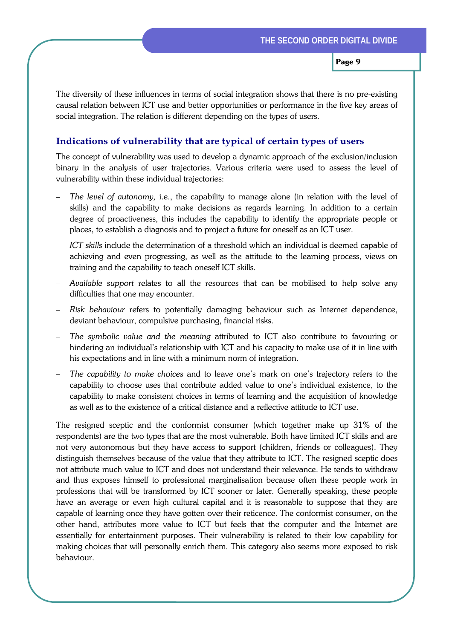The diversity of these influences in terms of social integration shows that there is no pre-existing causal relation between ICT use and better opportunities or performance in the five key areas of social integration. The relation is different depending on the types of users.

# **Indications of vulnerability that are typical of certain types of users**

The concept of vulnerability was used to develop a dynamic approach of the exclusion/inclusion binary in the analysis of user trajectories. Various criteria were used to assess the level of vulnerability within these individual trajectories:

- The level of autonomy, i.e., the capability to manage alone (in relation with the level of skills) and the capability to make decisions as regards learning. In addition to a certain degree of proactiveness, this includes the capability to identify the appropriate people or places, to establish a diagnosis and to project a future for oneself as an ICT user.
- − *ICT skills* include the determination of a threshold which an individual is deemed capable of achieving and even progressing, as well as the attitude to the learning process, views on training and the capability to teach oneself ICT skills.
- − *Available support* relates to all the resources that can be mobilised to help solve any difficulties that one may encounter.
- − *Risk behaviour* refers to potentially damaging behaviour such as Internet dependence, deviant behaviour, compulsive purchasing, financial risks.
- − *The symbolic value and the meaning* attributed to ICT also contribute to favouring or hindering an individual's relationship with ICT and his capacity to make use of it in line with his expectations and in line with a minimum norm of integration.
- − *The capability to make choices* and to leave one's mark on one's trajectory refers to the capability to choose uses that contribute added value to one's individual existence, to the capability to make consistent choices in terms of learning and the acquisition of knowledge as well as to the existence of a critical distance and a reflective attitude to ICT use.

The resigned sceptic and the conformist consumer (which together make up 31% of the respondents) are the two types that are the most vulnerable. Both have limited ICT skills and are not very autonomous but they have access to support (children, friends or colleagues). They distinguish themselves because of the value that they attribute to ICT. The resigned sceptic does not attribute much value to ICT and does not understand their relevance. He tends to withdraw and thus exposes himself to professional marginalisation because often these people work in professions that will be transformed by ICT sooner or later. Generally speaking, these people have an average or even high cultural capital and it is reasonable to suppose that they are capable of learning once they have gotten over their reticence. The conformist consumer, on the other hand, attributes more value to ICT but feels that the computer and the Internet are essentially for entertainment purposes. Their vulnerability is related to their low capability for making choices that will personally enrich them. This category also seems more exposed to risk behaviour.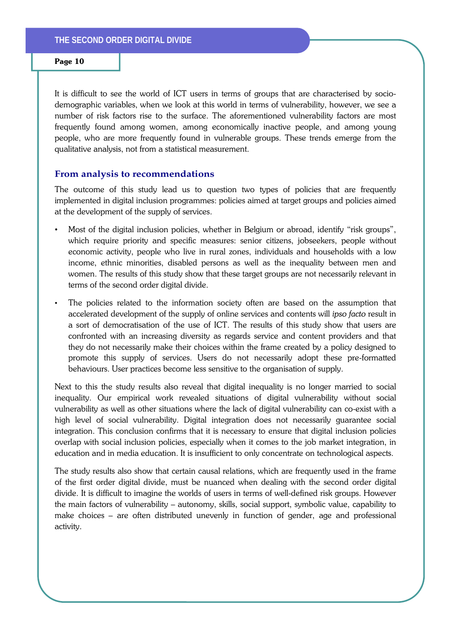It is difficult to see the world of ICT users in terms of groups that are characterised by sociodemographic variables, when we look at this world in terms of vulnerability, however, we see a number of risk factors rise to the surface. The aforementioned vulnerability factors are most frequently found among women, among economically inactive people, and among young people, who are more frequently found in vulnerable groups. These trends emerge from the qualitative analysis, not from a statistical measurement.

#### **From analysis to recommendations**

The outcome of this study lead us to question two types of policies that are frequently implemented in digital inclusion programmes: policies aimed at target groups and policies aimed at the development of the supply of services.

- Most of the digital inclusion policies, whether in Belgium or abroad, identify "risk groups", which require priority and specific measures: senior citizens, jobseekers, people without economic activity, people who live in rural zones, individuals and households with a low income, ethnic minorities, disabled persons as well as the inequality between men and women. The results of this study show that these target groups are not necessarily relevant in terms of the second order digital divide.
- The policies related to the information society often are based on the assumption that accelerated development of the supply of online services and contents will *ipso facto* result in a sort of democratisation of the use of ICT. The results of this study show that users are confronted with an increasing diversity as regards service and content providers and that they do not necessarily make their choices within the frame created by a policy designed to promote this supply of services. Users do not necessarily adopt these pre-formatted behaviours. User practices become less sensitive to the organisation of supply.

Next to this the study results also reveal that digital inequality is no longer married to social inequality. Our empirical work revealed situations of digital vulnerability without social vulnerability as well as other situations where the lack of digital vulnerability can co-exist with a high level of social vulnerability. Digital integration does not necessarily guarantee social integration. This conclusion confirms that it is necessary to ensure that digital inclusion policies overlap with social inclusion policies, especially when it comes to the job market integration, in education and in media education. It is insufficient to only concentrate on technological aspects.

The study results also show that certain causal relations, which are frequently used in the frame of the first order digital divide, must be nuanced when dealing with the second order digital divide. It is difficult to imagine the worlds of users in terms of well-defined risk groups. However the main factors of vulnerability – autonomy, skills, social support, symbolic value, capability to make choices – are often distributed unevenly in function of gender, age and professional activity.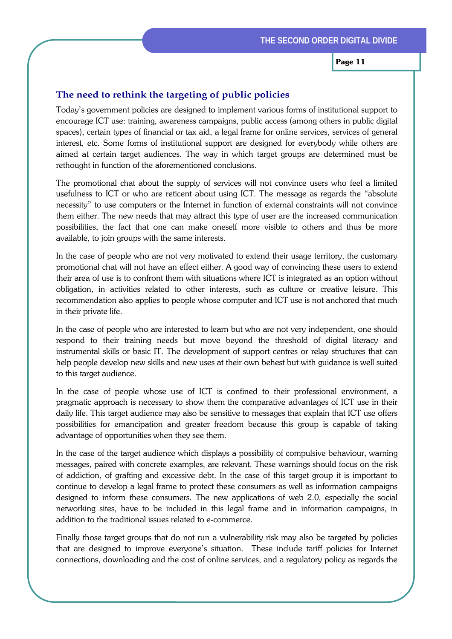### **The need to rethink the targeting of public policies**

Today's government policies are designed to implement various forms of institutional support to encourage ICT use: training, awareness campaigns, public access (among others in public digital spaces), certain types of financial or tax aid, a legal frame for online services, services of general interest, etc. Some forms of institutional support are designed for everybody while others are aimed at certain target audiences. The way in which target groups are determined must be rethought in function of the aforementioned conclusions.

The promotional chat about the supply of services will not convince users who feel a limited usefulness to ICT or who are reticent about using ICT. The message as regards the "absolute necessity" to use computers or the Internet in function of external constraints will not convince them either. The new needs that may attract this type of user are the increased communication possibilities, the fact that one can make oneself more visible to others and thus be more available, to join groups with the same interests.

In the case of people who are not very motivated to extend their usage territory, the customary promotional chat will not have an effect either. A good way of convincing these users to extend their area of use is to confront them with situations where ICT is integrated as an option without obligation, in activities related to other interests, such as culture or creative leisure. This recommendation also applies to people whose computer and ICT use is not anchored that much in their private life.

In the case of people who are interested to learn but who are not very independent, one should respond to their training needs but move beyond the threshold of digital literacy and instrumental skills or basic IT. The development of support centres or relay structures that can help people develop new skills and new uses at their own behest but with guidance is well suited to this target audience.

In the case of people whose use of ICT is confined to their professional environment, a pragmatic approach is necessary to show them the comparative advantages of ICT use in their daily life. This target audience may also be sensitive to messages that explain that ICT use offers possibilities for emancipation and greater freedom because this group is capable of taking advantage of opportunities when they see them.

In the case of the target audience which displays a possibility of compulsive behaviour, warning messages, paired with concrete examples, are relevant. These warnings should focus on the risk of addiction, of grafting and excessive debt. In the case of this target group it is important to continue to develop a legal frame to protect these consumers as well as information campaigns designed to inform these consumers. The new applications of web 2.0, especially the social networking sites, have to be included in this legal frame and in information campaigns, in addition to the traditional issues related to e-commerce.

Finally those target groups that do not run a vulnerability risk may also be targeted by policies that are designed to improve everyone's situation. These include tariff policies for Internet connections, downloading and the cost of online services, and a regulatory policy as regards the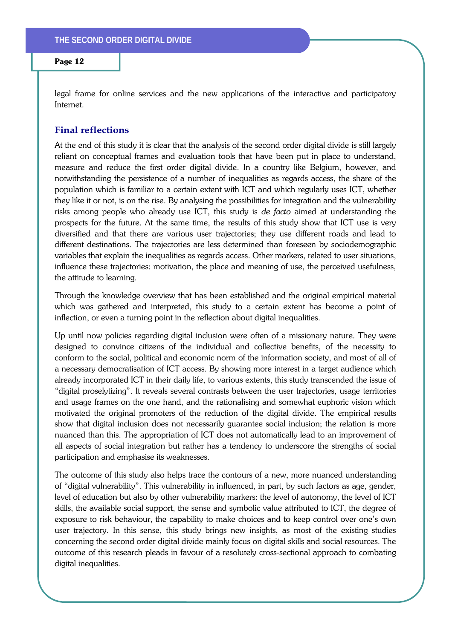legal frame for online services and the new applications of the interactive and participatory Internet.

# **Final reflections**

At the end of this study it is clear that the analysis of the second order digital divide is still largely reliant on conceptual frames and evaluation tools that have been put in place to understand, measure and reduce the first order digital divide. In a country like Belgium, however, and notwithstanding the persistence of a number of inequalities as regards access, the share of the population which is familiar to a certain extent with ICT and which regularly uses ICT, whether they like it or not, is on the rise. By analysing the possibilities for integration and the vulnerability risks among people who already use ICT, this study is *de facto* aimed at understanding the prospects for the future. At the same time, the results of this study show that ICT use is very diversified and that there are various user trajectories; they use different roads and lead to different destinations. The trajectories are less determined than foreseen by sociodemographic variables that explain the inequalities as regards access. Other markers, related to user situations, influence these trajectories: motivation, the place and meaning of use, the perceived usefulness, the attitude to learning.

Through the knowledge overview that has been established and the original empirical material which was gathered and interpreted, this study to a certain extent has become a point of inflection, or even a turning point in the reflection about digital inequalities.

Up until now policies regarding digital inclusion were often of a missionary nature. They were designed to convince citizens of the individual and collective benefits, of the necessity to conform to the social, political and economic norm of the information society, and most of all of a necessary democratisation of ICT access. By showing more interest in a target audience which already incorporated ICT in their daily life, to various extents, this study transcended the issue of "digital proselytizing". It reveals several contrasts between the user trajectories, usage territories and usage frames on the one hand, and the rationalising and somewhat euphoric vision which motivated the original promoters of the reduction of the digital divide. The empirical results show that digital inclusion does not necessarily guarantee social inclusion; the relation is more nuanced than this. The appropriation of ICT does not automatically lead to an improvement of all aspects of social integration but rather has a tendency to underscore the strengths of social participation and emphasise its weaknesses.

The outcome of this study also helps trace the contours of a new, more nuanced understanding of "digital vulnerability". This vulnerability in influenced, in part, by such factors as age, gender, level of education but also by other vulnerability markers: the level of autonomy, the level of ICT skills, the available social support, the sense and symbolic value attributed to ICT, the degree of exposure to risk behaviour, the capability to make choices and to keep control over one's own user trajectory. In this sense, this study brings new insights, as most of the existing studies concerning the second order digital divide mainly focus on digital skills and social resources. The outcome of this research pleads in favour of a resolutely cross-sectional approach to combating digital inequalities.